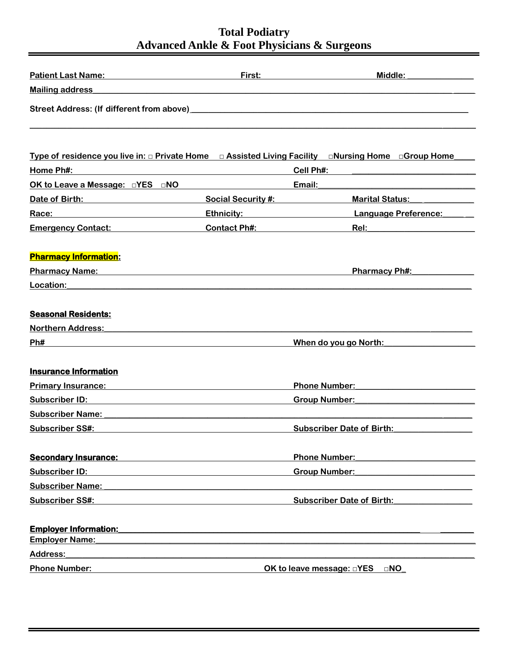| Patient Last Name: Name and Separate Section 1 and 2012                                                                                                                                                                            | First:                                                                                                                | Middle:                                                                                                                                                                                                                             |
|------------------------------------------------------------------------------------------------------------------------------------------------------------------------------------------------------------------------------------|-----------------------------------------------------------------------------------------------------------------------|-------------------------------------------------------------------------------------------------------------------------------------------------------------------------------------------------------------------------------------|
| <b>Mailing address</b>                                                                                                                                                                                                             | <u> 1980 - Johann Barbara, martin da basar da basar da basar da basar da basar da basar da basar da basar da basa</u> |                                                                                                                                                                                                                                     |
|                                                                                                                                                                                                                                    |                                                                                                                       |                                                                                                                                                                                                                                     |
|                                                                                                                                                                                                                                    |                                                                                                                       | Type of residence you live in: $\Box$ Private Home $\Box$ Assisted Living Facility $\Box$ Nursing Home $\Box$ Group Home                                                                                                            |
| Home Ph#:                                                                                                                                                                                                                          |                                                                                                                       | <b>Cell Ph#:</b> experience and a series of the series of the series of the series of the series of the series of the series of the series of the series of the series of the series of the series of the series of the series of t |
| OK to Leave a Message: $\square$ YES $\square$ NO                                                                                                                                                                                  |                                                                                                                       | Email:                                                                                                                                                                                                                              |
| Date of Birth: <u>contained</u>                                                                                                                                                                                                    | Social Security #: Social Security #:                                                                                 | <b>Marital Status:</b> Marital Status:                                                                                                                                                                                              |
| Race:<br>the control of the control of the control of the control of the control of the control of                                                                                                                                 | Ethnicity: Annual American Studies                                                                                    | Language Preference:                                                                                                                                                                                                                |
| <b>Emergency Contact:</b> Emergency Contact:                                                                                                                                                                                       | <b>Contact Ph#:</b>                                                                                                   | <b>Rel:</b> the contract of the contract of the contract of the contract of the contract of the contract of the contract of the contract of the contract of the contract of the contract of the contract of the contract of the con |
| <b>Pharmacy Information:</b>                                                                                                                                                                                                       |                                                                                                                       |                                                                                                                                                                                                                                     |
|                                                                                                                                                                                                                                    |                                                                                                                       | <b>Pharmacy Ph#:</b>                                                                                                                                                                                                                |
| Location:                                                                                                                                                                                                                          |                                                                                                                       |                                                                                                                                                                                                                                     |
| <b>Seasonal Residents:</b>                                                                                                                                                                                                         |                                                                                                                       |                                                                                                                                                                                                                                     |
| <b>Northern Address:</b>                                                                                                                                                                                                           |                                                                                                                       |                                                                                                                                                                                                                                     |
| Ph#                                                                                                                                                                                                                                |                                                                                                                       | When do you go North:                                                                                                                                                                                                               |
| <b>Insurance Information</b>                                                                                                                                                                                                       |                                                                                                                       |                                                                                                                                                                                                                                     |
| <b>Primary Insurance:</b> New York Changes and Changes and Changes and Changes and Changes and Changes and Changes and Changes and Changes and Changes and Changes and Changes and Changes and Changes and Changes and Changes and |                                                                                                                       | <b>Phone Number:</b> The Contract of the Contract of the Contract of the Contract of the Contract of the Contract of the Contract of the Contract of the Contract of the Contract of the Contract of the Contract of the Contract o |
| <b>Subscriber ID:</b>                                                                                                                                                                                                              |                                                                                                                       | <b>Group Number:</b><br><u> 1989 - Johann Stein, Amerikaansk politiker (</u>                                                                                                                                                        |
| Subscriber Name: The Contract of the Contract of the Contract of the Contract of the Contract of the Contract of the Contract of the Contract of the Contract of the Contract of the Contract of the Contract of the Contract      |                                                                                                                       |                                                                                                                                                                                                                                     |
| <b>Subscriber SS#:</b>                                                                                                                                                                                                             |                                                                                                                       | <b>Subscriber Date of Birth:</b>                                                                                                                                                                                                    |
| <b>Secondary Insurance:</b>                                                                                                                                                                                                        |                                                                                                                       | <b>Phone Number:</b>                                                                                                                                                                                                                |
| <b>Subscriber ID:</b><br><u> 1989 - Johann Stein, mars an de Francisco (f. 19</u>                                                                                                                                                  |                                                                                                                       | <b>Group Number:</b>                                                                                                                                                                                                                |
| <b>Subscriber Name:</b><br><u> 1980 - Jan Sterling von de Berling von de Berling von de Berling von de Berling von de Berling von de Berlin</u>                                                                                    |                                                                                                                       |                                                                                                                                                                                                                                     |
| <b>Subscriber SS#:</b>                                                                                                                                                                                                             |                                                                                                                       | <b>Subscriber Date of Birth:</b> Subscriber Date of Birth:                                                                                                                                                                          |
| <b>Employer Information:</b><br><b>Employer Name:</b><br><u> 1980 - Andrea Andrew Maria (h. 1980).</u><br>1901 - Andrew Maria (h. 1902).                                                                                           |                                                                                                                       |                                                                                                                                                                                                                                     |
| <b>Address:</b>                                                                                                                                                                                                                    |                                                                                                                       |                                                                                                                                                                                                                                     |
| <b>Phone Number:</b>                                                                                                                                                                                                               |                                                                                                                       | OK to leave message: <b>NO</b>                                                                                                                                                                                                      |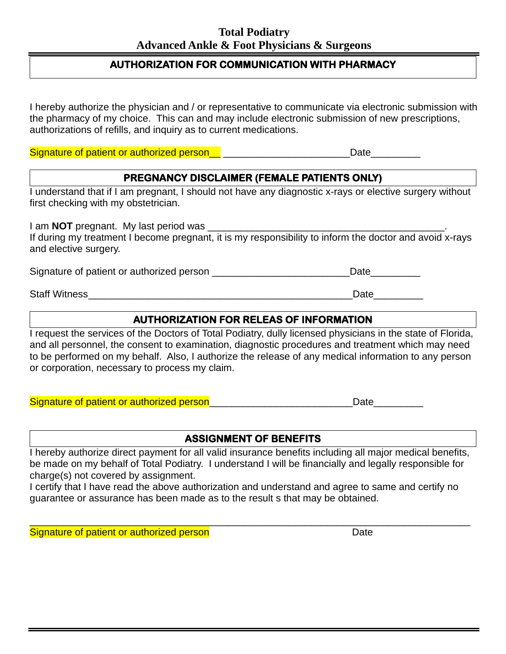# **AUTHORIZATION FOR COMMUNICATION WITH PHARMACY**

I hereby authorize the physician and / or representative to communicate via electronic submission with the pharmacy of my choice. This can and may include electronic submission of new prescriptions, authorizations of refills, and inquiry as to current medications.

Signature of patient or authorized person example that the control of Date

# **PREGNANCY DISCLAIMER (FEMALE PATIENTS ONLY)**

I understand that if I am pregnant, I should not have any diagnostic x-rays or elective surgery without first checking with my obstetrician.

I am **NOT** pregnant. My last period was If during my treatment I become pregnant, it is my responsibility to inform the doctor and avoid x-rays and elective surgery.

Signature of patient or authorized person **Example 20** and the Date

Staff Witness\_\_\_\_\_\_\_\_\_\_\_\_\_\_\_\_\_\_\_\_\_\_\_\_\_\_\_\_\_\_\_\_\_\_\_\_\_\_\_\_\_\_\_\_\_\_\_\_Date\_\_\_\_\_\_\_\_\_

# **AUTHORIZATION FOR RELEAS OF INFORMATION**

I request the services of the Doctors of Total Podiatry, dully licensed physicians in the state of Florida, and all personnel, the consent to examination, diagnostic procedures and treatment which may need to be performed on my behalf. Also, I authorize the release of any medical information to any person or corporation, necessary to process my claim.

Signature of patient or authorized person\_\_\_\_\_\_\_\_\_\_\_\_\_\_\_\_\_\_\_\_\_\_\_\_\_\_\_\_\_\_\_\_\_Date\_\_\_\_\_\_\_\_\_

# **ASSIGNMENT OF BENEFITS**

I hereby authorize direct payment for all valid insurance benefits including all major medical benefits, be made on my behalf of Total Podiatry. I understand I will be financially and legally responsible for charge(s) not covered by assignment.

I certify that I have read the above authorization and understand and agree to same and certify no guarantee or assurance has been made as to the result s that may be obtained.

\_\_\_\_\_\_\_\_\_\_\_\_\_\_\_\_\_\_\_\_\_\_\_\_\_\_\_\_\_\_\_\_\_\_\_\_\_\_\_\_\_\_\_\_\_\_\_\_\_\_\_\_\_\_\_\_\_\_\_\_\_\_\_\_\_\_\_\_\_\_\_\_\_\_\_\_\_\_\_\_

Signature of patient or authorized person Date Date Date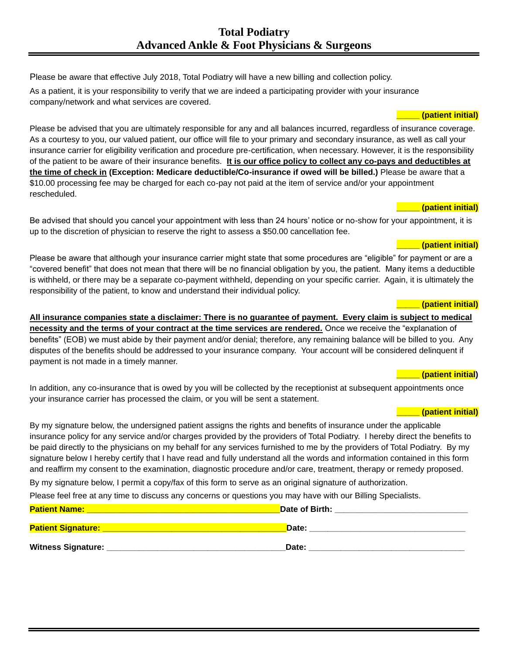Please be aware that effective July 2018, Total Podiatry will have a new billing and collection policy. As a patient, it is your responsibility to verify that we are indeed a participating provider with your insurance company/network and what services are covered.

Please be advised that you are ultimately responsible for any and all balances incurred, regardless of insurance coverage. As a courtesy to you, our valued patient, our office will file to your primary and secondary insurance, as well as call your insurance carrier for eligibility verification and procedure pre-certification, when necessary. However, it is the responsibility of the patient to be aware of their insurance benefits. **It is our office policy to collect any co-pays and deductibles at the time of check in (Exception: Medicare deductible/Co-insurance if owed will be billed.)** Please be aware that a \$10.00 processing fee may be charged for each co-pay not paid at the item of service and/or your appointment rescheduled.

### **\_\_\_\_\_ (patient initial)**

**\_\_\_\_\_ (patient initial)**

Be advised that should you cancel your appointment with less than 24 hours' notice or no-show for your appointment, it is up to the discretion of physician to reserve the right to assess a \$50.00 cancellation fee.

#### **\_\_\_\_\_ (patient initial)**

Please be aware that although your insurance carrier might state that some procedures are "eligible" for payment or are a "covered benefit" that does not mean that there will be no financial obligation by you, the patient. Many items a deductible is withheld, or there may be a separate co-payment withheld, depending on your specific carrier. Again, it is ultimately the responsibility of the patient, to know and understand their individual policy.

#### **\_\_\_\_\_ (patient initial)**

**All insurance companies state a disclaimer: There is no guarantee of payment. Every claim is subject to medical necessity and the terms of your contract at the time services are rendered.** Once we receive the "explanation of benefits" (EOB) we must abide by their payment and/or denial; therefore, any remaining balance will be billed to you. Any disputes of the benefits should be addressed to your insurance company. Your account will be considered delinquent if payment is not made in a timely manner.

#### **\_\_\_\_\_ (patient initial)**

In addition, any co-insurance that is owed by you will be collected by the receptionist at subsequent appointments once your insurance carrier has processed the claim, or you will be sent a statement.

#### **\_\_\_\_\_ (patient initial)**

By my signature below, the undersigned patient assigns the rights and benefits of insurance under the applicable insurance policy for any service and/or charges provided by the providers of Total Podiatry. I hereby direct the benefits to be paid directly to the physicians on my behalf for any services furnished to me by the providers of Total Podiatry. By my signature below I hereby certify that I have read and fully understand all the words and information contained in this form and reaffirm my consent to the examination, diagnostic procedure and/or care, treatment, therapy or remedy proposed.

By my signature below, I permit a copy/fax of this form to serve as an original signature of authorization.

Please feel free at any time to discuss any concerns or questions you may have with our Billing Specialists.

| <b>Patient Name:</b>      | Date of Birth: |
|---------------------------|----------------|
|                           |                |
| <b>Patient Signature:</b> | Date:          |
|                           |                |
| <b>Witness Signature:</b> | Date:          |
|                           |                |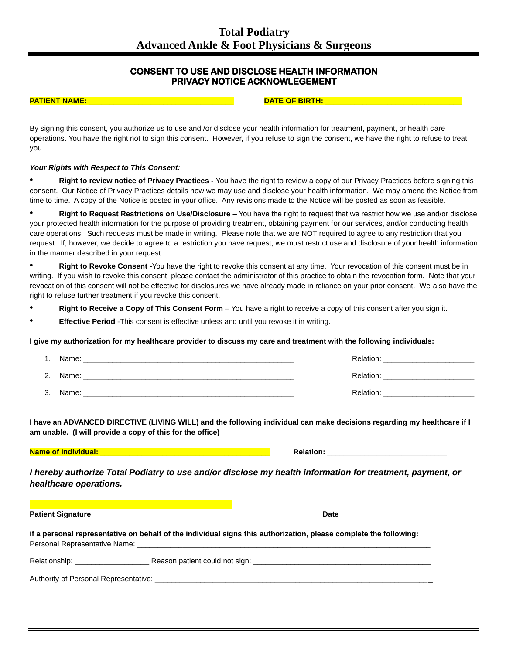## **CONSENT TO USE AND DISCLOSE HEALTH INFORMATION PRIVACY NOTICE ACKNOWLEGEMENT**

**PATIENT NAME: \_\_\_\_\_\_\_\_\_\_\_\_\_\_\_\_\_\_\_\_\_\_\_\_\_\_\_\_\_\_\_\_\_\_\_ DATE OF BIRTH: \_\_\_\_\_\_\_\_\_\_\_\_\_\_\_\_\_\_\_\_\_\_\_\_\_\_\_\_\_\_\_\_\_**

By signing this consent, you authorize us to use and /or disclose your health information for treatment, payment, or health care operations. You have the right not to sign this consent. However, if you refuse to sign the consent, we have the right to refuse to treat you.

#### *Your Rights with Respect to This Consent:*

• **Right to review notice of Privacy Practices -** You have the right to review a copy of our Privacy Practices before signing this consent. Our Notice of Privacy Practices details how we may use and disclose your health information. We may amend the Notice from time to time. A copy of the Notice is posted in your office. Any revisions made to the Notice will be posted as soon as feasible.

• **Right to Request Restrictions on Use/Disclosure –** You have the right to request that we restrict how we use and/or disclose your protected health information for the purpose of providing treatment, obtaining payment for our services, and/or conducting health care operations. Such requests must be made in writing. Please note that we are NOT required to agree to any restriction that you request. If, however, we decide to agree to a restriction you have request, we must restrict use and disclosure of your health information in the manner described in your request.

• **Right to Revoke Consent** -You have the right to revoke this consent at any time. Your revocation of this consent must be in writing. If you wish to revoke this consent, please contact the administrator of this practice to obtain the revocation form. Note that your revocation of this consent will not be effective for disclosures we have already made in reliance on your prior consent. We also have the right to refuse further treatment if you revoke this consent.

- **Right to Receive a Copy of This Consent Form** You have a right to receive a copy of this consent after you sign it.
- **Effective Period** -This consent is effective unless and until you revoke it in writing.

#### **I give my authorization for my healthcare provider to discuss my care and treatment with the following individuals:**

| 1. Name: | Relation: |
|----------|-----------|
| 2. Name: | Relation: |
| 3. Name: | Relation: |

**I have an ADVANCED DIRECTIVE (LIVING WILL) and the following individual can make decisions regarding my healthcare if I am unable. (I will provide a copy of this for the office)**

**Name of Individual: \_\_\_\_\_\_\_\_\_\_\_\_\_\_\_\_\_\_\_\_\_\_\_\_\_\_\_\_\_\_\_\_\_\_\_\_\_\_\_\_\_ Relation: \_\_\_\_\_\_\_\_\_\_\_\_\_\_\_\_\_\_\_\_\_\_\_\_\_\_\_\_\_**

*I hereby authorize Total Podiatry to use and/or disclose my health information for treatment, payment, or healthcare operations.*

| <b>Patient Signature</b>              | <b>Date</b>                                                                                                                                                                                                                    |  |  |  |  |
|---------------------------------------|--------------------------------------------------------------------------------------------------------------------------------------------------------------------------------------------------------------------------------|--|--|--|--|
|                                       | if a personal representative on behalf of the individual signs this authorization, please complete the following:                                                                                                              |  |  |  |  |
| Relationship: _______________________ | Reason patient could not sign: Note that the set of the set of the set of the set of the set of the set of the set of the set of the set of the set of the set of the set of the set of the set of the set of the set of the s |  |  |  |  |
| Authority of Personal Representative: |                                                                                                                                                                                                                                |  |  |  |  |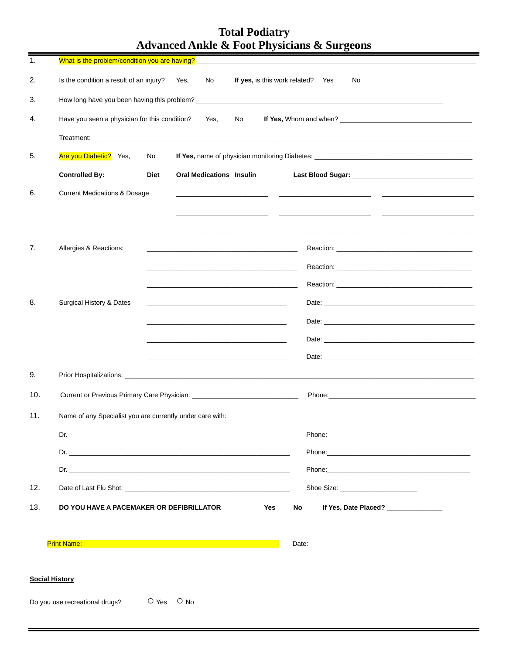| 1.                    |                                                                                                        |             |                |                                 |                                                |                                                                                           |    |                                                                                                                                                                                                                                    |    |                                     |  |
|-----------------------|--------------------------------------------------------------------------------------------------------|-------------|----------------|---------------------------------|------------------------------------------------|-------------------------------------------------------------------------------------------|----|------------------------------------------------------------------------------------------------------------------------------------------------------------------------------------------------------------------------------------|----|-------------------------------------|--|
| 2.                    | Is the condition a result of an injury?                                                                |             | Yes,           | No                              |                                                | If yes, is this work related? Yes                                                         |    |                                                                                                                                                                                                                                    | No |                                     |  |
| 3.                    |                                                                                                        |             |                |                                 |                                                |                                                                                           |    |                                                                                                                                                                                                                                    |    |                                     |  |
| 4.                    | Have you seen a physician for this condition?                                                          |             |                | Yes,                            | No                                             |                                                                                           |    |                                                                                                                                                                                                                                    |    |                                     |  |
|                       |                                                                                                        |             |                |                                 |                                                |                                                                                           |    |                                                                                                                                                                                                                                    |    |                                     |  |
| 5.                    | Are you Diabetic? Yes,                                                                                 | No          |                |                                 |                                                |                                                                                           |    |                                                                                                                                                                                                                                    |    |                                     |  |
|                       | <b>Controlled By:</b>                                                                                  | <b>Diet</b> |                | <b>Oral Medications Insulin</b> |                                                |                                                                                           |    |                                                                                                                                                                                                                                    |    |                                     |  |
| 6.                    | <b>Current Medications &amp; Dosage</b>                                                                |             |                |                                 |                                                |                                                                                           |    |                                                                                                                                                                                                                                    |    |                                     |  |
|                       |                                                                                                        |             |                |                                 |                                                |                                                                                           |    |                                                                                                                                                                                                                                    |    |                                     |  |
|                       |                                                                                                        |             |                |                                 | <u> 1989 - Alexandr Alexandr III (b. 1914)</u> |                                                                                           |    |                                                                                                                                                                                                                                    |    |                                     |  |
| 7.                    | Allergies & Reactions:                                                                                 |             |                |                                 |                                                |                                                                                           |    |                                                                                                                                                                                                                                    |    |                                     |  |
|                       |                                                                                                        |             |                |                                 |                                                | the control of the control of the control of the control of the control of the control of |    |                                                                                                                                                                                                                                    |    |                                     |  |
|                       |                                                                                                        |             |                |                                 |                                                | <u> 1989 - Johann John Harry, mars and deutscher Amerikaanse kommunister († 1908)</u>     |    |                                                                                                                                                                                                                                    |    |                                     |  |
| 8.                    | Surgical History & Dates                                                                               |             |                |                                 |                                                |                                                                                           |    |                                                                                                                                                                                                                                    |    |                                     |  |
|                       |                                                                                                        |             |                |                                 |                                                |                                                                                           |    |                                                                                                                                                                                                                                    |    |                                     |  |
|                       |                                                                                                        |             |                |                                 |                                                |                                                                                           |    |                                                                                                                                                                                                                                    |    |                                     |  |
|                       |                                                                                                        |             |                |                                 |                                                |                                                                                           |    | Date: <u>Date:</u> Partnership and the contract of the contract of the contract of the contract of the contract of the contract of the contract of the contract of the contract of the contract of the contract of the contract of |    |                                     |  |
| 9.                    |                                                                                                        |             |                |                                 |                                                |                                                                                           |    |                                                                                                                                                                                                                                    |    |                                     |  |
| 10.                   |                                                                                                        |             |                |                                 |                                                |                                                                                           |    |                                                                                                                                                                                                                                    |    |                                     |  |
| 11.                   | Name of any Specialist you are currently under care with:                                              |             |                |                                 |                                                |                                                                                           |    |                                                                                                                                                                                                                                    |    |                                     |  |
|                       |                                                                                                        |             |                |                                 |                                                |                                                                                           |    | Phone: Note: The Commission of the Commission of the Commission of the Commission of the Commission of the Commission of the Commission of the Commission of the Commission of the Commission of the Commission of the Commiss     |    |                                     |  |
|                       |                                                                                                        |             |                |                                 |                                                |                                                                                           |    |                                                                                                                                                                                                                                    |    |                                     |  |
|                       |                                                                                                        |             |                |                                 |                                                |                                                                                           |    |                                                                                                                                                                                                                                    |    |                                     |  |
| 12.                   |                                                                                                        |             |                |                                 |                                                |                                                                                           |    |                                                                                                                                                                                                                                    |    |                                     |  |
| 13.                   | DO YOU HAVE A PACEMAKER OR DEFIBRILLATOR                                                               |             |                |                                 |                                                | Yes                                                                                       | No |                                                                                                                                                                                                                                    |    | If Yes, Date Placed? ______________ |  |
|                       |                                                                                                        |             |                |                                 |                                                |                                                                                           |    |                                                                                                                                                                                                                                    |    |                                     |  |
|                       | Print Name: <u>Andrew American Communication</u> Control and Communication Communication Communication |             |                |                                 |                                                |                                                                                           |    |                                                                                                                                                                                                                                    |    |                                     |  |
|                       |                                                                                                        |             |                |                                 |                                                |                                                                                           |    |                                                                                                                                                                                                                                    |    |                                     |  |
| <b>Social History</b> |                                                                                                        |             |                |                                 |                                                |                                                                                           |    |                                                                                                                                                                                                                                    |    |                                     |  |
|                       | Do you use recreational drugs?                                                                         |             | $O$ Yes $O$ No |                                 |                                                |                                                                                           |    |                                                                                                                                                                                                                                    |    |                                     |  |
|                       |                                                                                                        |             |                |                                 |                                                |                                                                                           |    |                                                                                                                                                                                                                                    |    |                                     |  |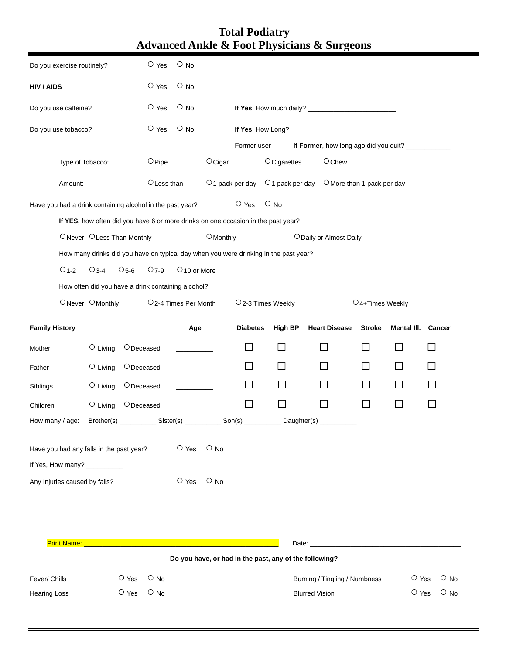| <b>Total Podiatry</b>                                      |
|------------------------------------------------------------|
| <b>Advanced Ankle &amp; Foot Physicians &amp; Surgeons</b> |

 $\blacksquare$ 

 $\equiv$ 

 $=$ 

|                                     | Do you exercise routinely?                                                                            |                                                           |              | $\circ$ Yes     | $\circ$ No                        |                |                                                                          |                                                                                      |                                                        |                                                 |                             |                 |              |            |
|-------------------------------------|-------------------------------------------------------------------------------------------------------|-----------------------------------------------------------|--------------|-----------------|-----------------------------------|----------------|--------------------------------------------------------------------------|--------------------------------------------------------------------------------------|--------------------------------------------------------|-------------------------------------------------|-----------------------------|-----------------|--------------|------------|
| <b>HIV / AIDS</b>                   |                                                                                                       |                                                           |              | $\circ$ Yes     | $\circ$ No                        |                |                                                                          |                                                                                      |                                                        |                                                 |                             |                 |              |            |
| $\circ$ Yes<br>Do you use caffeine? |                                                                                                       |                                                           |              | $\circ$ No      |                                   |                |                                                                          |                                                                                      |                                                        |                                                 |                             |                 |              |            |
| Do you use tobacco?                 |                                                                                                       |                                                           | O Yes        | $\circ$ No      |                                   |                |                                                                          |                                                                                      |                                                        |                                                 |                             |                 |              |            |
|                                     |                                                                                                       |                                                           |              |                 |                                   | Former user    |                                                                          | If Former, how long ago did you quit? _____________                                  |                                                        |                                                 |                             |                 |              |            |
|                                     | Type of Tobacco:                                                                                      |                                                           |              | $\bigcirc$ Pipe |                                   | $OC$ igar      | $\circ$ Cigarettes                                                       |                                                                                      |                                                        | $O$ Chew                                        |                             |                 |              |            |
|                                     | Amount:                                                                                               |                                                           |              | O Less than     |                                   |                | $\circ$ 1 pack per day                                                   |                                                                                      |                                                        | $O$ 1 pack per day $O$ More than 1 pack per day |                             |                 |              |            |
|                                     |                                                                                                       | Have you had a drink containing alcohol in the past year? |              |                 |                                   |                | $\circ$ Yes                                                              | $\circ$ No                                                                           |                                                        |                                                 |                             |                 |              |            |
|                                     |                                                                                                       |                                                           |              |                 |                                   |                |                                                                          | If YES, how often did you have 6 or more drinks on one occasion in the past year?    |                                                        |                                                 |                             |                 |              |            |
|                                     |                                                                                                       | ONever OLess Than Monthly                                 |              |                 |                                   | $O$ Monthly    |                                                                          |                                                                                      | O Daily or Almost Daily                                |                                                 |                             |                 |              |            |
|                                     |                                                                                                       |                                                           |              |                 |                                   |                |                                                                          | How many drinks did you have on typical day when you were drinking in the past year? |                                                        |                                                 |                             |                 |              |            |
|                                     | $O1-2$                                                                                                | $O_3-4$                                                   | $O5-6$       | $O7-9$          | ○10 or More                       |                |                                                                          |                                                                                      |                                                        |                                                 |                             |                 |              |            |
|                                     |                                                                                                       | How often did you have a drink containing alcohol?        |              |                 |                                   |                |                                                                          |                                                                                      |                                                        |                                                 |                             |                 |              |            |
|                                     |                                                                                                       | ONever OMonthly                                           |              |                 | O <sub>2</sub> -4 Times Per Month |                |                                                                          | O <sub>2</sub> -3 Times Weekly                                                       |                                                        |                                                 | O <sub>4+Times</sub> Weekly |                 |              |            |
| <b>Family History</b>               |                                                                                                       |                                                           | Age          |                 | <b>Diabetes</b>                   | <b>High BP</b> | <b>Heart Disease</b>                                                     |                                                                                      | <b>Stroke</b>                                          | Mental III.                                     |                             | Cancer          |              |            |
| Mother                              |                                                                                                       | $\circ$ Living                                            | ODeceased    |                 |                                   |                | $\mathbf{L}$                                                             |                                                                                      | $\blacksquare$                                         |                                                 |                             | <b>Contract</b> | П            |            |
| Father                              |                                                                                                       | $\circ$ Living                                            | ODeceased    |                 |                                   |                | ΙI                                                                       |                                                                                      | $\Box$                                                 |                                                 |                             |                 | $\mathsf{L}$ |            |
| Siblings                            |                                                                                                       | $\circ$ Living                                            | ODeceased    |                 |                                   |                | ΙI                                                                       |                                                                                      | $\blacksquare$                                         |                                                 |                             | $\mathbf{I}$    |              |            |
| Children                            |                                                                                                       | $\circ$ Living                                            | $O$ Deceased |                 |                                   |                |                                                                          | $\Box$                                                                               | $\Box$                                                 | $\Box$                                          |                             | $\Box$          | П            |            |
| How many / age:                     |                                                                                                       |                                                           |              |                 |                                   |                | Brother(s) _______________ Sister(s) ______________ Son(s) _____________ |                                                                                      | Daughter(s) ___________                                |                                                 |                             |                 |              |            |
|                                     | $\circ$ Yes<br>$\circ$ No<br>Have you had any falls in the past year?<br>If Yes, How many? __________ |                                                           |              |                 |                                   |                |                                                                          |                                                                                      |                                                        |                                                 |                             |                 |              |            |
|                                     | Any Injuries caused by falls?                                                                         |                                                           |              |                 | $\circ$ Yes                       | $\circ$ No     |                                                                          |                                                                                      |                                                        |                                                 |                             |                 |              |            |
|                                     |                                                                                                       |                                                           |              |                 |                                   |                |                                                                          |                                                                                      |                                                        |                                                 |                             |                 |              |            |
|                                     | Print Name: <u>____</u>                                                                               |                                                           |              |                 |                                   |                |                                                                          |                                                                                      |                                                        |                                                 |                             |                 |              |            |
|                                     |                                                                                                       |                                                           |              |                 |                                   |                |                                                                          |                                                                                      | Do you have, or had in the past, any of the following? |                                                 |                             |                 |              |            |
| Fever/ Chills                       |                                                                                                       |                                                           | $\circ$ Yes  | $\circ$ No      |                                   |                |                                                                          |                                                                                      | Burning / Tingling / Numbness                          |                                                 |                             | $\circ$ Yes     |              | $\circ$ No |
| <b>Hearing Loss</b>                 |                                                                                                       |                                                           | $\circ$ Yes  | $\circ$ No      |                                   |                |                                                                          |                                                                                      | <b>Blurred Vision</b>                                  |                                                 |                             | $\circ$ Yes     |              | $\circ$ No |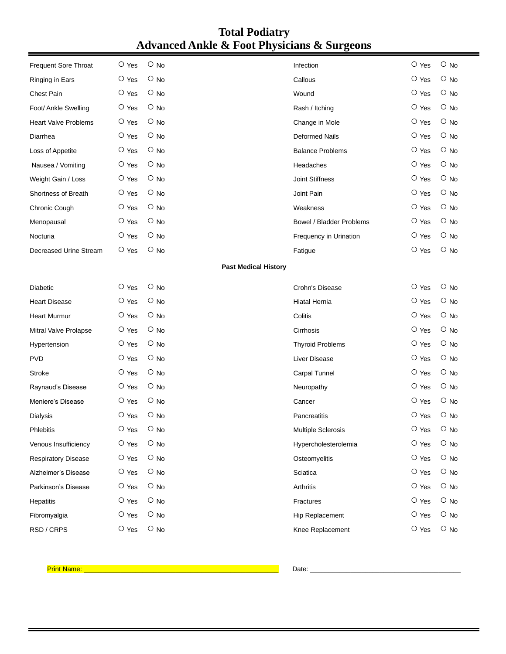| <b>Frequent Sore Throat</b> | O Yes       | $O$ No                      | Infection                | $\circ$ Yes | $O$ No     |
|-----------------------------|-------------|-----------------------------|--------------------------|-------------|------------|
| Ringing in Ears             | $\circ$ Yes | $\circ$ No                  | Callous                  | O Yes       | $\circ$ No |
| Chest Pain                  | O Yes       | $\circ$ No                  | Wound                    | $\circ$ Yes | $\circ$ No |
| Foot/ Ankle Swelling        | $\circ$ Yes | $\circ$ No                  | Rash / Itching           | $\circ$ Yes | $\circ$ No |
| <b>Heart Valve Problems</b> | O Yes       | $\circ$ No                  | Change in Mole           | $\circ$ Yes | $\circ$ No |
| Diarrhea                    | $\circ$ Yes | $O$ No                      | <b>Deformed Nails</b>    | $\circ$ Yes | $\circ$ No |
| Loss of Appetite            | O Yes       | $O$ No                      | <b>Balance Problems</b>  | $\circ$ Yes | $\circ$ No |
| Nausea / Vomiting           | $\circ$ Yes | $\circ$ No                  | Headaches                | $\circ$ Yes | $\circ$ No |
| Weight Gain / Loss          | O Yes       | $\circ$ No                  | <b>Joint Stiffness</b>   | O Yes       | $\circ$ No |
| Shortness of Breath         | O Yes       | $\circ$ No                  | Joint Pain               | $\circ$ Yes | $\circ$ No |
| Chronic Cough               | O Yes       | $\circ$ No                  | Weakness                 | O Yes       | $\circ$ No |
| Menopausal                  | O Yes       | $\circ$ No                  | Bowel / Bladder Problems | $\circ$ Yes | $\circ$ No |
| Nocturia                    | O Yes       | $O$ No                      | Frequency in Urination   | $\circ$ Yes | $\circ$ No |
| Decreased Urine Stream      | $\circ$ Yes | $O$ No                      | Fatigue                  | $\circ$ Yes | $\circ$ No |
|                             |             | <b>Past Medical History</b> |                          |             |            |
| <b>Diabetic</b>             | $\circ$ Yes | $O$ No                      | Crohn's Disease          | O Yes       | $\circ$ No |
| <b>Heart Disease</b>        | O Yes       | $\circ$ No                  | Hiatal Hernia            | $\circ$ Yes | $\circ$ No |
| <b>Heart Murmur</b>         | $\circ$ Yes | $\circ$ No                  | Colitis                  | $\circ$ Yes | $O$ No     |
| Mitral Valve Prolapse       | O Yes       | $\circ$ No                  | Cirrhosis                | $\circ$ Yes | $\circ$ No |
| Hypertension                | $\circ$ Yes | $O$ No                      | <b>Thyroid Problems</b>  | O Yes       | $O$ No     |
| <b>PVD</b>                  | O Yes       | $\circ$ No                  | Liver Disease            | $\circ$ Yes | $\circ$ No |
| Stroke                      | $\circ$ Yes | $\circ$ No                  | Carpal Tunnel            | $\circ$ Yes | $\circ$ No |
| Raynaud's Disease           | $\circ$ Yes | $\circ$ No                  | Neuropathy               | $\circ$ Yes | $\circ$ No |
| Meniere's Disease           | O Yes       | $\circ$ No                  | Cancer                   | O Yes       | $\circ$ No |
| Dialysis                    | O Yes       | $\circ$ No                  | Pancreatitis             | O Yes       | $O$ No     |
| Phlebitis                   | $\circ$ Yes | $\circ$ No                  | Multiple Sclerosis       | O Yes       | $\circ$ No |
| Venous Insufficiency        | $\circ$ Yes | $\circ$ No                  | Hypercholesterolemia     | $\circ$ Yes | $\circ$ No |
| Respiratory Disease         | $\circ$ Yes | $\circ$ No                  | Osteomyelitis            | O Yes       | $\circ$ No |
| Alzheimer's Disease         | $\circ$ Yes | $\circ$ No                  | Sciatica                 | $\circ$ Yes | $\circ$ No |
| Parkinson's Disease         | $\circ$ Yes | $\circ$ No                  | Arthritis                | O Yes       | $\circ$ No |
| Hepatitis                   | $\circ$ Yes | $\circ$ No                  | Fractures                | O Yes       | $\circ$ No |
| Fibromyalgia                | $\circ$ Yes | $\circ$ No                  | Hip Replacement          | $\circ$ Yes | $\circ$ No |
| RSD / CRPS                  | O Yes       | $\circ$ No                  | Knee Replacement         | $\circ$ Yes | $\circ$ No |
|                             |             |                             |                          |             |            |

Print Name: \_\_\_\_\_\_\_\_\_\_\_\_\_\_\_\_\_\_\_\_\_\_\_\_\_\_\_\_\_\_\_\_\_\_\_\_\_\_\_\_\_\_\_\_\_\_\_\_\_\_\_\_\_ Date: \_\_\_\_\_\_\_\_\_\_\_\_\_\_\_\_\_\_\_\_\_\_\_\_\_\_\_\_\_\_\_\_\_\_\_\_\_\_\_\_\_